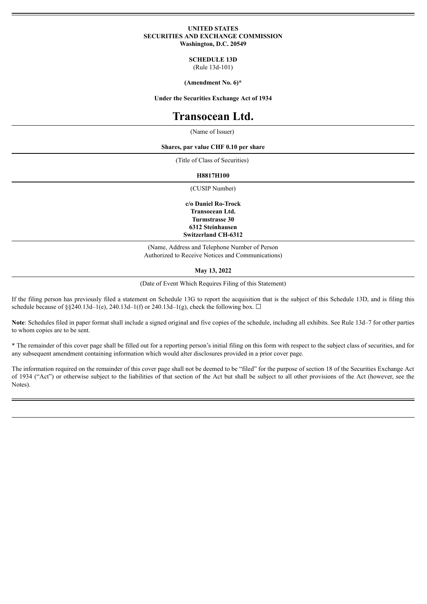#### **UNITED STATES SECURITIES AND EXCHANGE COMMISSION Washington, D.C. 20549**

**SCHEDULE 13D**

(Rule 13d-101)

**(Amendment No. 6)\***

**Under the Securities Exchange Act of 1934**

# **Transocean Ltd.**

(Name of Issuer)

**Shares, par value CHF 0.10 per share**

(Title of Class of Securities)

**H8817H100**

(CUSIP Number)

**c/o Daniel Ro-Trock Transocean Ltd. Turmstrasse 30 6312 Steinhausen Switzerland CH-6312**

(Name, Address and Telephone Number of Person Authorized to Receive Notices and Communications)

**May 13, 2022**

(Date of Event Which Requires Filing of this Statement)

If the filing person has previously filed a statement on Schedule 13G to report the acquisition that is the subject of this Schedule 13D, and is filing this schedule because of §§240.13d–1(e), 240.13d–1(f) or 240.13d–1(g), check the following box.  $\Box$ 

Note: Schedules filed in paper format shall include a signed original and five copies of the schedule, including all exhibits. See Rule 13d–7 for other parties to whom copies are to be sent.

\* The remainder of this cover page shall be filled out for a reporting person's initial filing on this form with respect to the subject class of securities, and for any subsequent amendment containing information which would alter disclosures provided in a prior cover page.

The information required on the remainder of this cover page shall not be deemed to be "filed" for the purpose of section 18 of the Securities Exchange Act of 1934 ("Act") or otherwise subject to the liabilities of that section of the Act but shall be subject to all other provisions of the Act (however, see the Notes).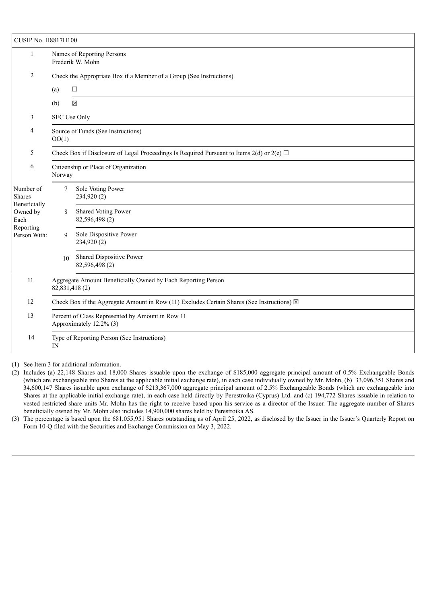| <b>CUSIP No. H8817H100</b>                                    |                                                                                                      |                                                                                                |  |  |  |  |
|---------------------------------------------------------------|------------------------------------------------------------------------------------------------------|------------------------------------------------------------------------------------------------|--|--|--|--|
| $\mathbf{1}$                                                  | Names of Reporting Persons<br>Frederik W. Mohn                                                       |                                                                                                |  |  |  |  |
| 2                                                             | Check the Appropriate Box if a Member of a Group (See Instructions)                                  |                                                                                                |  |  |  |  |
|                                                               | (a)                                                                                                  | $\Box$                                                                                         |  |  |  |  |
|                                                               | (b)                                                                                                  | $\boxtimes$                                                                                    |  |  |  |  |
| 3                                                             | SEC Use Only                                                                                         |                                                                                                |  |  |  |  |
| $\overline{4}$                                                | Source of Funds (See Instructions)<br>OO(1)                                                          |                                                                                                |  |  |  |  |
| 5                                                             |                                                                                                      | Check Box if Disclosure of Legal Proceedings Is Required Pursuant to Items 2(d) or 2(e) $\Box$ |  |  |  |  |
| 6                                                             | Citizenship or Place of Organization<br>Norway                                                       |                                                                                                |  |  |  |  |
| Number of<br><b>Shares</b>                                    | 7                                                                                                    | Sole Voting Power<br>234,920 (2)                                                               |  |  |  |  |
| Beneficially<br>Owned by<br>Each<br>Reporting<br>Person With: | 8                                                                                                    | Shared Voting Power<br>82,596,498 (2)                                                          |  |  |  |  |
|                                                               | 9                                                                                                    | Sole Dispositive Power<br>234,920 (2)                                                          |  |  |  |  |
|                                                               | 10                                                                                                   | Shared Dispositive Power<br>82,596,498 (2)                                                     |  |  |  |  |
| 11                                                            | Aggregate Amount Beneficially Owned by Each Reporting Person<br>82,831,418(2)                        |                                                                                                |  |  |  |  |
| 12                                                            | Check Box if the Aggregate Amount in Row (11) Excludes Certain Shares (See Instructions) $\boxtimes$ |                                                                                                |  |  |  |  |
| 13                                                            | Percent of Class Represented by Amount in Row 11<br>Approximately 12.2% (3)                          |                                                                                                |  |  |  |  |
| 14                                                            | Type of Reporting Person (See Instructions)<br>IN                                                    |                                                                                                |  |  |  |  |

(1) See Item 3 for additional information.

(2) Includes (a) 22,148 Shares and 18,000 Shares issuable upon the exchange of \$185,000 aggregate principal amount of 0.5% Exchangeable Bonds (which are exchangeable into Shares at the applicable initial exchange rate), in each case individually owned by Mr. Mohn, (b) 33,096,351 Shares and 34,600,147 Shares issuable upon exchange of \$213,367,000 aggregate principal amount of 2.5% Exchangeable Bonds (which are exchangeable into Shares at the applicable initial exchange rate), in each case held directly by Perestroika (Cyprus) Ltd. and (c) 194,772 Shares issuable in relation to vested restricted share units Mr. Mohn has the right to receive based upon his service as a director of the Issuer. The aggregate number of Shares beneficially owned by Mr. Mohn also includes 14,900,000 shares held by Perestroika AS.

(3) The percentage is based upon the 681,055,951 Shares outstanding as of April 25, 2022, as disclosed by the Issuer in the Issuer's Quarterly Report on Form 10-Q filed with the Securities and Exchange Commission on May 3, 2022.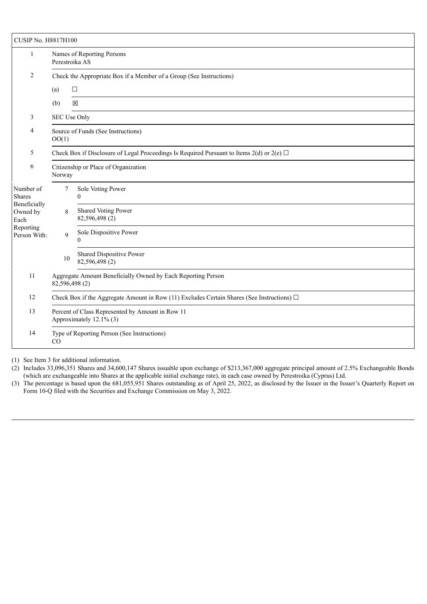| <b>CUSIP No. H8817H100</b>                                     |                                                                                                 |                                            |  |  |  |  |  |
|----------------------------------------------------------------|-------------------------------------------------------------------------------------------------|--------------------------------------------|--|--|--|--|--|
| 1                                                              | Names of Reporting Persons<br>Perestroika AS                                                    |                                            |  |  |  |  |  |
| 2                                                              | Check the Appropriate Box if a Member of a Group (See Instructions)                             |                                            |  |  |  |  |  |
|                                                                | (a)                                                                                             | $\Box$                                     |  |  |  |  |  |
|                                                                | (b)                                                                                             | $\boxtimes$                                |  |  |  |  |  |
| 3                                                              | SEC Use Only                                                                                    |                                            |  |  |  |  |  |
| 4                                                              | Source of Funds (See Instructions)<br>OO(1)                                                     |                                            |  |  |  |  |  |
| 5                                                              | Check Box if Disclosure of Legal Proceedings Is Required Pursuant to Items 2(d) or 2(e) $\Box$  |                                            |  |  |  |  |  |
| 6                                                              | Citizenship or Place of Organization<br>Norway                                                  |                                            |  |  |  |  |  |
| Number of<br><b>Shares</b><br>Beneficially<br>Owned by<br>Each | 7                                                                                               | Sole Voting Power<br>$\theta$              |  |  |  |  |  |
|                                                                | 8                                                                                               | Shared Voting Power<br>82,596,498 (2)      |  |  |  |  |  |
| Reporting<br>Person With:                                      | 9                                                                                               | Sole Dispositive Power                     |  |  |  |  |  |
|                                                                | 10                                                                                              | Shared Dispositive Power<br>82,596,498 (2) |  |  |  |  |  |
| 11                                                             | Aggregate Amount Beneficially Owned by Each Reporting Person<br>82,596,498 (2)                  |                                            |  |  |  |  |  |
| 12                                                             | Check Box if the Aggregate Amount in Row (11) Excludes Certain Shares (See Instructions) $\Box$ |                                            |  |  |  |  |  |
| 13                                                             | Percent of Class Represented by Amount in Row 11<br>Approximately 12.1% (3)                     |                                            |  |  |  |  |  |
| 14                                                             | Type of Reporting Person (See Instructions)<br>CO                                               |                                            |  |  |  |  |  |

(1) See Item 3 for additional information.

(2) Includes 33,096,351 Shares and 34,600,147 Shares issuable upon exchange of \$213,367,000 aggregate principal amount of 2.5% Exchangeable Bonds (which are exchangeable into Shares at the applicable initial exchange rate), in each case owned by Perestroika (Cyprus) Ltd.

(3) The percentage is based upon the 681,055,951 Shares outstanding as of April 25, 2022, as disclosed by the Issuer in the Issuer's Quarterly Report on Form 10-Q filed with the Securities and Exchange Commission on May 3, 2022.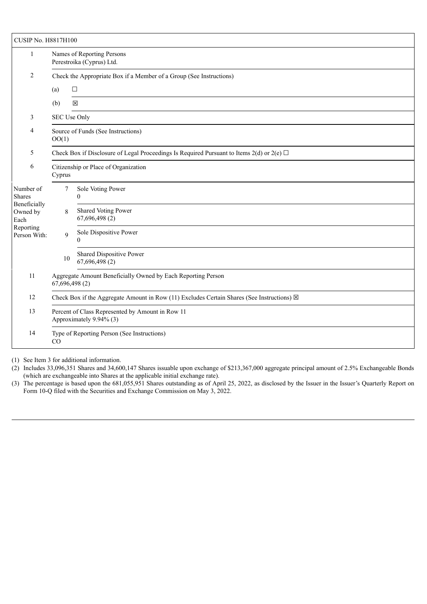| <b>CUSIP No. H8817H100</b>                                    |                                                                                                      |                                            |  |  |  |  |
|---------------------------------------------------------------|------------------------------------------------------------------------------------------------------|--------------------------------------------|--|--|--|--|
| 1                                                             | Names of Reporting Persons<br>Perestroika (Cyprus) Ltd.                                              |                                            |  |  |  |  |
| 2                                                             | Check the Appropriate Box if a Member of a Group (See Instructions)                                  |                                            |  |  |  |  |
|                                                               | (a)                                                                                                  | $\Box$                                     |  |  |  |  |
|                                                               | (b)                                                                                                  | $\boxtimes$                                |  |  |  |  |
| 3                                                             | SEC Use Only                                                                                         |                                            |  |  |  |  |
| 4                                                             | Source of Funds (See Instructions)<br>OO(1)                                                          |                                            |  |  |  |  |
| 5                                                             | Check Box if Disclosure of Legal Proceedings Is Required Pursuant to Items 2(d) or 2(e) $\Box$       |                                            |  |  |  |  |
| 6                                                             | Citizenship or Place of Organization<br>Cyprus                                                       |                                            |  |  |  |  |
| Number of<br><b>Shares</b>                                    | 7                                                                                                    | Sole Voting Power<br>$\Omega$              |  |  |  |  |
| Beneficially<br>Owned by<br>Each<br>Reporting<br>Person With: | 8                                                                                                    | Shared Voting Power<br>67,696,498 (2)      |  |  |  |  |
|                                                               | 9                                                                                                    | Sole Dispositive Power<br>0                |  |  |  |  |
|                                                               | 10                                                                                                   | Shared Dispositive Power<br>67,696,498 (2) |  |  |  |  |
| 11                                                            | Aggregate Amount Beneficially Owned by Each Reporting Person<br>67,696,498 (2)                       |                                            |  |  |  |  |
| 12                                                            | Check Box if the Aggregate Amount in Row (11) Excludes Certain Shares (See Instructions) $\boxtimes$ |                                            |  |  |  |  |
| 13                                                            | Percent of Class Represented by Amount in Row 11<br>Approximately 9.94% (3)                          |                                            |  |  |  |  |
| 14                                                            | Type of Reporting Person (See Instructions)<br>CO                                                    |                                            |  |  |  |  |

(1) See Item 3 for additional information.

(2) Includes 33,096,351 Shares and 34,600,147 Shares issuable upon exchange of \$213,367,000 aggregate principal amount of 2.5% Exchangeable Bonds (which are exchangeable into Shares at the applicable initial exchange rate).

(3) The percentage is based upon the 681,055,951 Shares outstanding as of April 25, 2022, as disclosed by the Issuer in the Issuer's Quarterly Report on Form 10-Q filed with the Securities and Exchange Commission on May 3, 2022.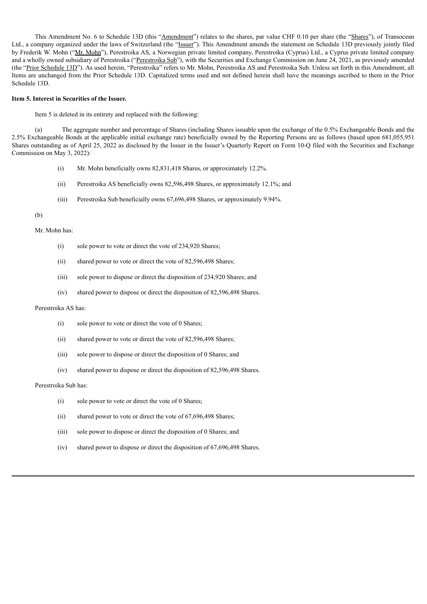This Amendment No. 6 to Schedule 13D (this "Amendment") relates to the shares, par value CHF 0.10 per share (the "Shares"), of Transocean Ltd., a company organized under the laws of Switzerland (the "Issuer"). This Amendment amends the statement on Schedule 13D previously jointly filed by Frederik W. Mohn ("Mr. Mohn"), Perestroika AS, a Norwegian private limited company, Perestroika (Cyprus) Ltd., a Cyprus private limited company and a wholly owned subsidiary of Perestroika ("Perestroika Sub"), with the Securities and Exchange Commission on June 24, 2021, as previously amended (the "Prior Schedule 13D"). As used herein, "Perestroika" refers to Mr. Mohn, Perestroika AS and Perestroika Sub. Unless set forth in this Amendment, all Items are unchanged from the Prior Schedule 13D. Capitalized terms used and not defined herein shall have the meanings ascribed to them in the Prior Schedule 13D.

#### **Item 5. Interest in Securities of the Issuer.**

Item 5 is deleted in its entirety and replaced with the following:

(a) The aggregate number and percentage of Shares (including Shares issuable upon the exchange of the 0.5% Exchangeable Bonds and the 2.5% Exchangeable Bonds at the applicable initial exchange rate) beneficially owned by the Reporting Persons are as follows (based upon 681,055,951 Shares outstanding as of April 25, 2022 as disclosed by the Issuer in the Issuer's Quarterly Report on Form 10-Q filed with the Securities and Exchange Commission on May 3, 2022):

- (i) Mr. Mohn beneficially owns 82,831,418 Shares, or approximately 12.2%.
- (ii) Perestroika AS beneficially owns 82,596,498 Shares, or approximately 12.1%; and
- (iii) Perestroika Sub beneficially owns 67,696,498 Shares, or approximately 9.94%.

(b)

Mr. Mohn has:

- (i) sole power to vote or direct the vote of 234,920 Shares;
- (ii) shared power to vote or direct the vote of 82,596,498 Shares;
- (iii) sole power to dispose or direct the disposition of 234,920 Shares; and
- (iv) shared power to dispose or direct the disposition of 82,596,498 Shares.

#### Perestroika AS has:

- (i) sole power to vote or direct the vote of 0 Shares;
- (ii) shared power to vote or direct the vote of 82,596,498 Shares;
- (iii) sole power to dispose or direct the disposition of 0 Shares; and
- (iv) shared power to dispose or direct the disposition of 82,596,498 Shares.

#### Perestroika Sub has:

- (i) sole power to vote or direct the vote of 0 Shares;
- (ii) shared power to vote or direct the vote of 67,696,498 Shares;
- (iii) sole power to dispose or direct the disposition of 0 Shares; and
- (iv) shared power to dispose or direct the disposition of 67,696,498 Shares.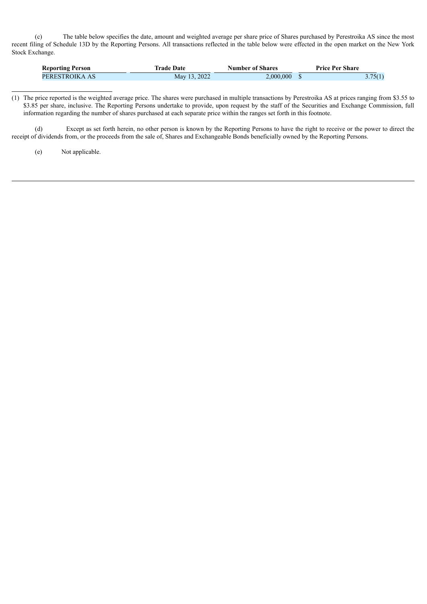(c) The table below specifies the date, amount and weighted average per share price of Shares purchased by Perestroika AS since the most recent filing of Schedule 13D by the Reporting Persons. All transactions reflected in the table below were effected in the open market on the New York Stock Exchange.

| <b>Reporting Person</b> | Trade Date   | <b>Number of Shares</b> | <b>Price Per Share</b> |         |
|-------------------------|--------------|-------------------------|------------------------|---------|
| PERESTROIKA AS          | May 13, 2022 | $\angle 000.000$        |                        | 3.75(1) |

<sup>(1)</sup> The price reported is the weighted average price. The shares were purchased in multiple transactions by Perestroika AS at prices ranging from \$3.55 to \$3.85 per share, inclusive. The Reporting Persons undertake to provide, upon request by the staff of the Securities and Exchange Commission, full information regarding the number of shares purchased at each separate price within the ranges set forth in this footnote.

(d) Except as set forth herein, no other person is known by the Reporting Persons to have the right to receive or the power to direct the receipt of dividends from, or the proceeds from the sale of, Shares and Exchangeable Bonds beneficially owned by the Reporting Persons.

(e) Not applicable.